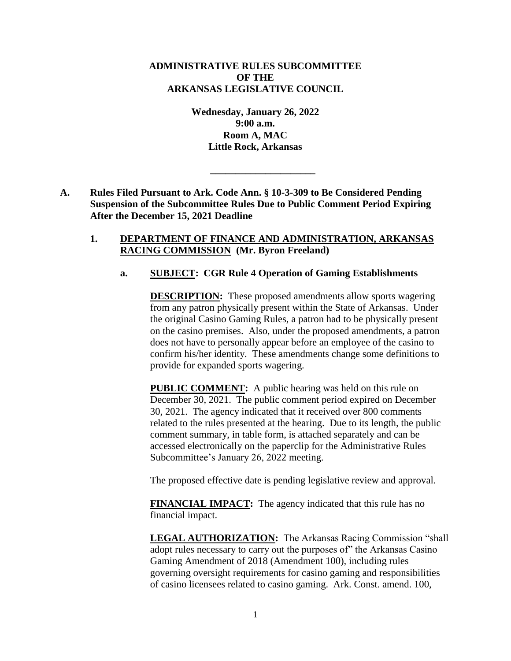## **ADMINISTRATIVE RULES SUBCOMMITTEE OF THE ARKANSAS LEGISLATIVE COUNCIL**

**Wednesday, January 26, 2022 9:00 a.m. Room A, MAC Little Rock, Arkansas**

**\_\_\_\_\_\_\_\_\_\_\_\_\_\_\_\_\_\_\_\_\_**

**A. Rules Filed Pursuant to Ark. Code Ann. § 10-3-309 to Be Considered Pending Suspension of the Subcommittee Rules Due to Public Comment Period Expiring After the December 15, 2021 Deadline**

### **1. DEPARTMENT OF FINANCE AND ADMINISTRATION, ARKANSAS RACING COMMISSION (Mr. Byron Freeland)**

## **a. SUBJECT: CGR Rule 4 Operation of Gaming Establishments**

**DESCRIPTION:** These proposed amendments allow sports wagering from any patron physically present within the State of Arkansas. Under the original Casino Gaming Rules, a patron had to be physically present on the casino premises. Also, under the proposed amendments, a patron does not have to personally appear before an employee of the casino to confirm his/her identity. These amendments change some definitions to provide for expanded sports wagering.

**PUBLIC COMMENT:** A public hearing was held on this rule on December 30, 2021. The public comment period expired on December 30, 2021. The agency indicated that it received over 800 comments related to the rules presented at the hearing. Due to its length, the public comment summary, in table form, is attached separately and can be accessed electronically on the paperclip for the Administrative Rules Subcommittee's January 26, 2022 meeting.

The proposed effective date is pending legislative review and approval.

**FINANCIAL IMPACT:** The agency indicated that this rule has no financial impact.

**LEGAL AUTHORIZATION:** The Arkansas Racing Commission "shall adopt rules necessary to carry out the purposes of" the Arkansas Casino Gaming Amendment of 2018 (Amendment 100), including rules governing oversight requirements for casino gaming and responsibilities of casino licensees related to casino gaming. Ark. Const. amend. 100,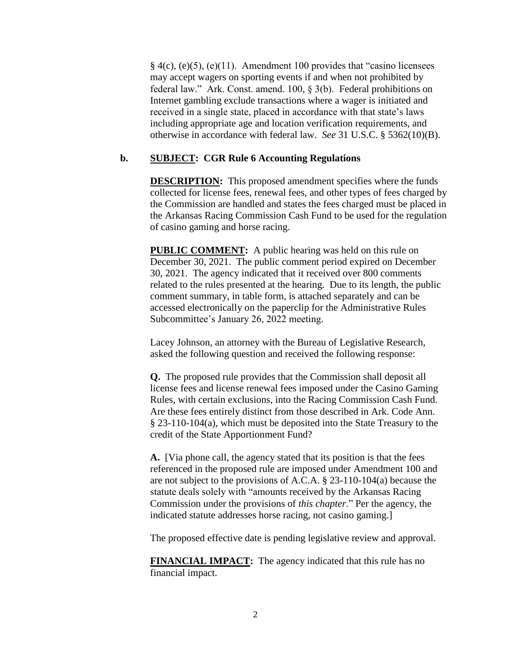$§$  4(c), (e)(5), (e)(11). Amendment 100 provides that "casino licensees may accept wagers on sporting events if and when not prohibited by federal law." Ark. Const. amend. 100, § 3(b). Federal prohibitions on Internet gambling exclude transactions where a wager is initiated and received in a single state, placed in accordance with that state's laws including appropriate age and location verification requirements, and otherwise in accordance with federal law. *See* 31 U.S.C. § 5362(10)(B).

## **b. SUBJECT: CGR Rule 6 Accounting Regulations**

**DESCRIPTION:** This proposed amendment specifies where the funds collected for license fees, renewal fees, and other types of fees charged by the Commission are handled and states the fees charged must be placed in the Arkansas Racing Commission Cash Fund to be used for the regulation of casino gaming and horse racing.

**PUBLIC COMMENT:** A public hearing was held on this rule on December 30, 2021. The public comment period expired on December 30, 2021. The agency indicated that it received over 800 comments related to the rules presented at the hearing. Due to its length, the public comment summary, in table form, is attached separately and can be accessed electronically on the paperclip for the Administrative Rules Subcommittee's January 26, 2022 meeting.

Lacey Johnson, an attorney with the Bureau of Legislative Research, asked the following question and received the following response:

**Q.** The proposed rule provides that the Commission shall deposit all license fees and license renewal fees imposed under the Casino Gaming Rules, with certain exclusions, into the Racing Commission Cash Fund. Are these fees entirely distinct from those described in Ark. Code Ann. § 23-110-104(a), which must be deposited into the State Treasury to the credit of the State Apportionment Fund?

**A.** [Via phone call, the agency stated that its position is that the fees referenced in the proposed rule are imposed under Amendment 100 and are not subject to the provisions of A.C.A. § 23-110-104(a) because the statute deals solely with "amounts received by the Arkansas Racing Commission under the provisions of *this chapter*." Per the agency, the indicated statute addresses horse racing, not casino gaming.]

The proposed effective date is pending legislative review and approval.

**FINANCIAL IMPACT:** The agency indicated that this rule has no financial impact.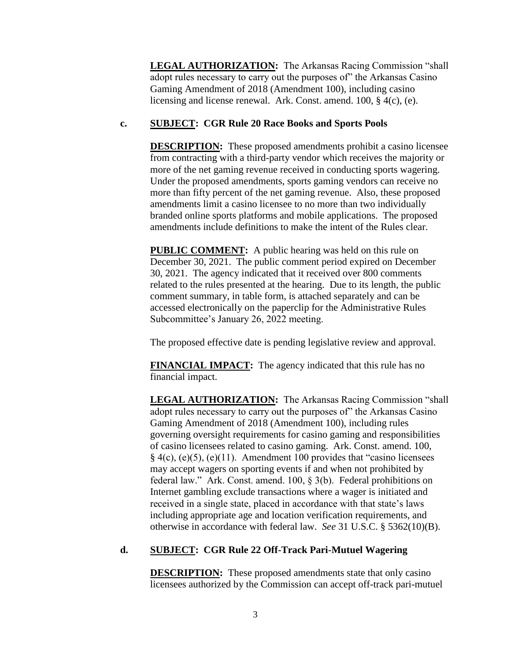**LEGAL AUTHORIZATION:** The Arkansas Racing Commission "shall adopt rules necessary to carry out the purposes of" the Arkansas Casino Gaming Amendment of 2018 (Amendment 100), including casino licensing and license renewal. Ark. Const. amend. 100, § 4(c), (e).

## **c. SUBJECT: CGR Rule 20 Race Books and Sports Pools**

**DESCRIPTION:** These proposed amendments prohibit a casino licensee from contracting with a third-party vendor which receives the majority or more of the net gaming revenue received in conducting sports wagering. Under the proposed amendments, sports gaming vendors can receive no more than fifty percent of the net gaming revenue. Also, these proposed amendments limit a casino licensee to no more than two individually branded online sports platforms and mobile applications. The proposed amendments include definitions to make the intent of the Rules clear.

**PUBLIC COMMENT:** A public hearing was held on this rule on December 30, 2021. The public comment period expired on December 30, 2021. The agency indicated that it received over 800 comments related to the rules presented at the hearing. Due to its length, the public comment summary, in table form, is attached separately and can be accessed electronically on the paperclip for the Administrative Rules Subcommittee's January 26, 2022 meeting.

The proposed effective date is pending legislative review and approval.

**FINANCIAL IMPACT:** The agency indicated that this rule has no financial impact.

**LEGAL AUTHORIZATION:** The Arkansas Racing Commission "shall adopt rules necessary to carry out the purposes of" the Arkansas Casino Gaming Amendment of 2018 (Amendment 100), including rules governing oversight requirements for casino gaming and responsibilities of casino licensees related to casino gaming. Ark. Const. amend. 100,  $§$  4(c), (e)(5), (e)(11). Amendment 100 provides that "casino licensees may accept wagers on sporting events if and when not prohibited by federal law." Ark. Const. amend. 100, § 3(b). Federal prohibitions on Internet gambling exclude transactions where a wager is initiated and received in a single state, placed in accordance with that state's laws including appropriate age and location verification requirements, and otherwise in accordance with federal law. *See* 31 U.S.C. § 5362(10)(B).

# **d. SUBJECT: CGR Rule 22 Off-Track Pari-Mutuel Wagering**

**DESCRIPTION:** These proposed amendments state that only casino licensees authorized by the Commission can accept off-track pari-mutuel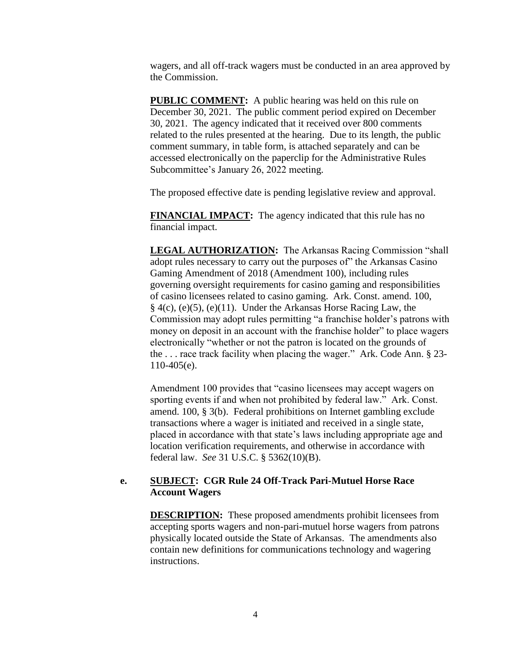wagers, and all off-track wagers must be conducted in an area approved by the Commission.

**PUBLIC COMMENT:** A public hearing was held on this rule on December 30, 2021. The public comment period expired on December 30, 2021. The agency indicated that it received over 800 comments related to the rules presented at the hearing. Due to its length, the public comment summary, in table form, is attached separately and can be accessed electronically on the paperclip for the Administrative Rules Subcommittee's January 26, 2022 meeting.

The proposed effective date is pending legislative review and approval.

**FINANCIAL IMPACT:** The agency indicated that this rule has no financial impact.

**LEGAL AUTHORIZATION:** The Arkansas Racing Commission "shall adopt rules necessary to carry out the purposes of" the Arkansas Casino Gaming Amendment of 2018 (Amendment 100), including rules governing oversight requirements for casino gaming and responsibilities of casino licensees related to casino gaming. Ark. Const. amend. 100,  $§$  4(c), (e)(5), (e)(11). Under the Arkansas Horse Racing Law, the Commission may adopt rules permitting "a franchise holder's patrons with money on deposit in an account with the franchise holder" to place wagers electronically "whether or not the patron is located on the grounds of the . . . race track facility when placing the wager." Ark. Code Ann. § 23- 110-405(e).

Amendment 100 provides that "casino licensees may accept wagers on sporting events if and when not prohibited by federal law." Ark. Const. amend. 100, § 3(b). Federal prohibitions on Internet gambling exclude transactions where a wager is initiated and received in a single state, placed in accordance with that state's laws including appropriate age and location verification requirements, and otherwise in accordance with federal law. *See* 31 U.S.C. § 5362(10)(B).

### **e. SUBJECT: CGR Rule 24 Off-Track Pari-Mutuel Horse Race Account Wagers**

**DESCRIPTION:** These proposed amendments prohibit licensees from accepting sports wagers and non-pari-mutuel horse wagers from patrons physically located outside the State of Arkansas. The amendments also contain new definitions for communications technology and wagering instructions.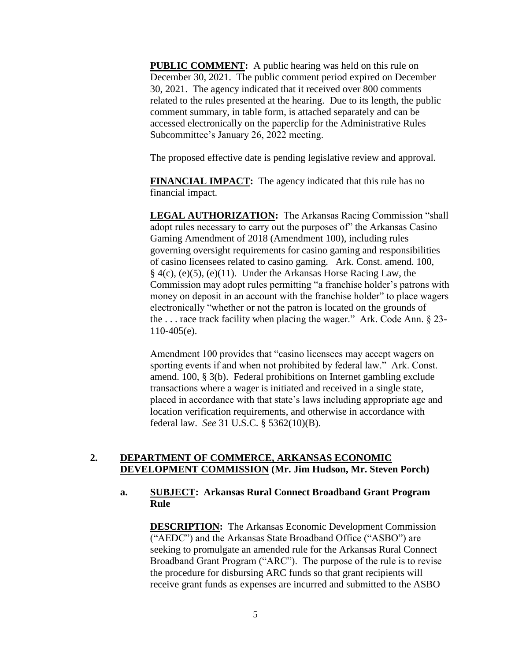**PUBLIC COMMENT:** A public hearing was held on this rule on December 30, 2021. The public comment period expired on December 30, 2021. The agency indicated that it received over 800 comments related to the rules presented at the hearing. Due to its length, the public comment summary, in table form, is attached separately and can be accessed electronically on the paperclip for the Administrative Rules Subcommittee's January 26, 2022 meeting.

The proposed effective date is pending legislative review and approval.

**FINANCIAL IMPACT:** The agency indicated that this rule has no financial impact.

**LEGAL AUTHORIZATION:** The Arkansas Racing Commission "shall adopt rules necessary to carry out the purposes of" the Arkansas Casino Gaming Amendment of 2018 (Amendment 100), including rules governing oversight requirements for casino gaming and responsibilities of casino licensees related to casino gaming. Ark. Const. amend. 100,  $§$  4(c), (e)(5), (e)(11). Under the Arkansas Horse Racing Law, the Commission may adopt rules permitting "a franchise holder's patrons with money on deposit in an account with the franchise holder" to place wagers electronically "whether or not the patron is located on the grounds of the . . . race track facility when placing the wager." Ark. Code Ann. § 23- 110-405(e).

Amendment 100 provides that "casino licensees may accept wagers on sporting events if and when not prohibited by federal law." Ark. Const. amend. 100, § 3(b). Federal prohibitions on Internet gambling exclude transactions where a wager is initiated and received in a single state, placed in accordance with that state's laws including appropriate age and location verification requirements, and otherwise in accordance with federal law. *See* 31 U.S.C. § 5362(10)(B).

## **2. DEPARTMENT OF COMMERCE, ARKANSAS ECONOMIC DEVELOPMENT COMMISSION (Mr. Jim Hudson, Mr. Steven Porch)**

## **a. SUBJECT: Arkansas Rural Connect Broadband Grant Program Rule**

**DESCRIPTION:** The Arkansas Economic Development Commission ("AEDC") and the Arkansas State Broadband Office ("ASBO") are seeking to promulgate an amended rule for the Arkansas Rural Connect Broadband Grant Program ("ARC"). The purpose of the rule is to revise the procedure for disbursing ARC funds so that grant recipients will receive grant funds as expenses are incurred and submitted to the ASBO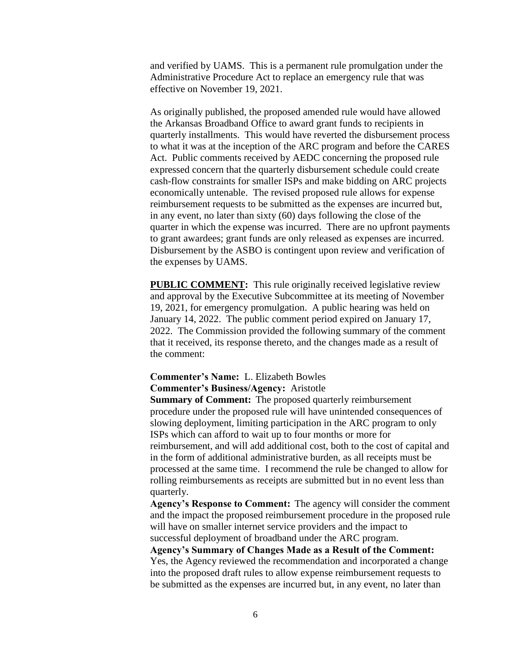and verified by UAMS. This is a permanent rule promulgation under the Administrative Procedure Act to replace an emergency rule that was effective on November 19, 2021.

As originally published, the proposed amended rule would have allowed the Arkansas Broadband Office to award grant funds to recipients in quarterly installments. This would have reverted the disbursement process to what it was at the inception of the ARC program and before the CARES Act. Public comments received by AEDC concerning the proposed rule expressed concern that the quarterly disbursement schedule could create cash-flow constraints for smaller ISPs and make bidding on ARC projects economically untenable. The revised proposed rule allows for expense reimbursement requests to be submitted as the expenses are incurred but, in any event, no later than sixty (60) days following the close of the quarter in which the expense was incurred. There are no upfront payments to grant awardees; grant funds are only released as expenses are incurred. Disbursement by the ASBO is contingent upon review and verification of the expenses by UAMS.

**PUBLIC COMMENT:** This rule originally received legislative review and approval by the Executive Subcommittee at its meeting of November 19, 2021, for emergency promulgation. A public hearing was held on January 14, 2022. The public comment period expired on January 17, 2022. The Commission provided the following summary of the comment that it received, its response thereto, and the changes made as a result of the comment:

# **Commenter's Name:** L. Elizabeth Bowles

**Commenter's Business/Agency:** Aristotle

**Summary of Comment:** The proposed quarterly reimbursement procedure under the proposed rule will have unintended consequences of slowing deployment, limiting participation in the ARC program to only ISPs which can afford to wait up to four months or more for reimbursement, and will add additional cost, both to the cost of capital and in the form of additional administrative burden, as all receipts must be processed at the same time. I recommend the rule be changed to allow for rolling reimbursements as receipts are submitted but in no event less than quarterly.

**Agency's Response to Comment:** The agency will consider the comment and the impact the proposed reimbursement procedure in the proposed rule will have on smaller internet service providers and the impact to successful deployment of broadband under the ARC program.

**Agency's Summary of Changes Made as a Result of the Comment:** Yes, the Agency reviewed the recommendation and incorporated a change into the proposed draft rules to allow expense reimbursement requests to be submitted as the expenses are incurred but, in any event, no later than